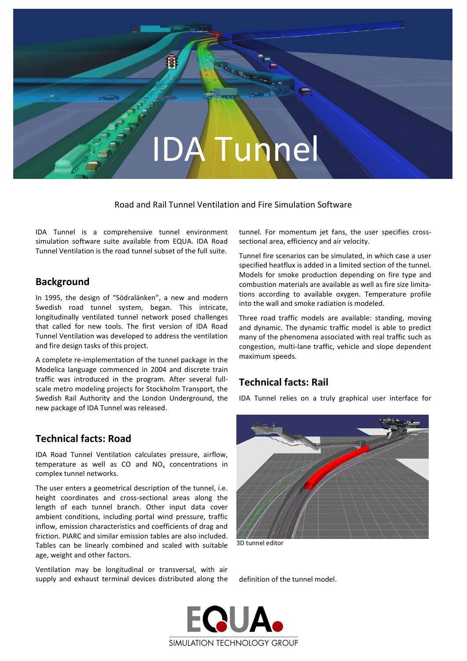

Road and Rail Tunnel Ventilation and Fire Simulation Software

IDA Tunnel is a comprehensive tunnel environment simulation software suite available from EQUA. IDA Road Tunnel Ventilation is the road tunnel subset of the full suite.

## **Background**

In 1995, the design of "Södralänken", a new and modern Swedish road tunnel system, began. This intricate, longitudinally ventilated tunnel network posed challenges that called for new tools. The first version of IDA Road Tunnel Ventilation was developed to address the ventilation and fire design tasks of this project.

A complete re-implementation of the tunnel package in the Modelica language commenced in 2004 and discrete train traffic was introduced in the program. After several fullscale metro modeling projects for Stockholm Transport, the Swedish Rail Authority and the London Underground, the new package of IDA Tunnel was released.

## **Technical facts: Road**

IDA Road Tunnel Ventilation calculates pressure, airflow, temperature as well as CO and  $NO<sub>x</sub>$  concentrations in complex tunnel networks.

The user enters a geometrical description of the tunnel, i.e. height coordinates and cross-sectional areas along the length of each tunnel branch. Other input data cover ambient conditions, including portal wind pressure, traffic inflow, emission characteristics and coefficients of drag and friction. PIARC and similar emission tables are also included. Tables can be linearly combined and scaled with suitable age, weight and other factors.

Ventilation may be longitudinal or transversal, with air supply and exhaust terminal devices distributed along the tunnel. For momentum jet fans, the user specifies crosssectional area, efficiency and air velocity.

Tunnel fire scenarios can be simulated, in which case a user specified heatflux is added in a limited section of the tunnel. Models for smoke production depending on fire type and combustion materials are available as well as fire size limitations according to available oxygen. Temperature profile into the wall and smoke radiation is modeled.

Three road traffic models are available: standing, moving and dynamic. The dynamic traffic model is able to predict many of the phenomena associated with real traffic such as congestion, multi-lane traffic, vehicle and slope dependent maximum speeds.

## **Technical facts: Rail**

IDA Tunnel relies on a truly graphical user interface for



3D tunnel editor

definition of the tunnel model.